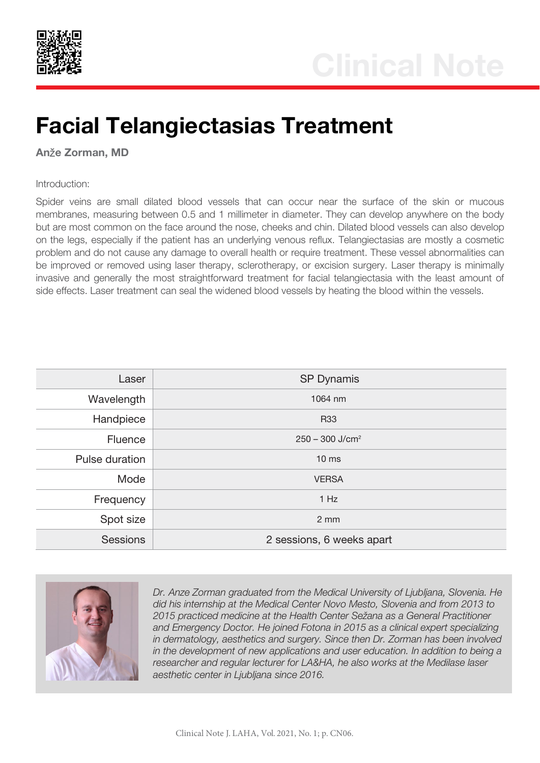

## Facial Telangiectasias Treatment

Anže Zorman, MD

## Introduction:

Spider veins are small dilated blood vessels that can occur near the surface of the skin or mucous membranes, measuring between 0.5 and 1 millimeter in diameter. They can develop anywhere on the body but are most common on the face around the nose, cheeks and chin. Dilated blood vessels can also develop on the legs, especially if the patient has an underlying venous reflux. Telangiectasias are mostly a cosmetic problem and do not cause any damage to overall health or require treatment. These vessel abnormalities can be improved or removed using laser therapy, sclerotherapy, or excision surgery. Laser therapy is minimally invasive and generally the most straightforward treatment for facial telangiectasia with the least amount of side effects. Laser treatment can seal the widened blood vessels by heating the blood within the vessels.

| Laser           | <b>SP Dynamis</b>             |
|-----------------|-------------------------------|
| Wavelength      | 1064 nm                       |
| Handpiece       | <b>R33</b>                    |
| <b>Fluence</b>  | $250 - 300$ J/cm <sup>2</sup> |
| Pulse duration  | 10 <sub>ms</sub>              |
| Mode            | <b>VERSA</b>                  |
| Frequency       | 1 Hz                          |
| Spot size       | $2 \, \text{mm}$              |
| <b>Sessions</b> | 2 sessions, 6 weeks apart     |



*Dr. Anze Zorman graduated from the Medical University of Ljubljana, Slovenia. He did his internship at the Medical Center Novo Mesto, Slovenia and from 2013 to 2015 practiced medicine at the Health Center Sežana as a General Practitioner and Emergency Doctor. He joined Fotona in 2015 as a clinical expert specializing in dermatology, aesthetics and surgery. Since then Dr. Zorman has been involved in the development of new applications and user education. In addition to being a researcher and regular lecturer for LA&HA, he also works at the Medilase laser aesthetic center in Ljubljana since 2016.*